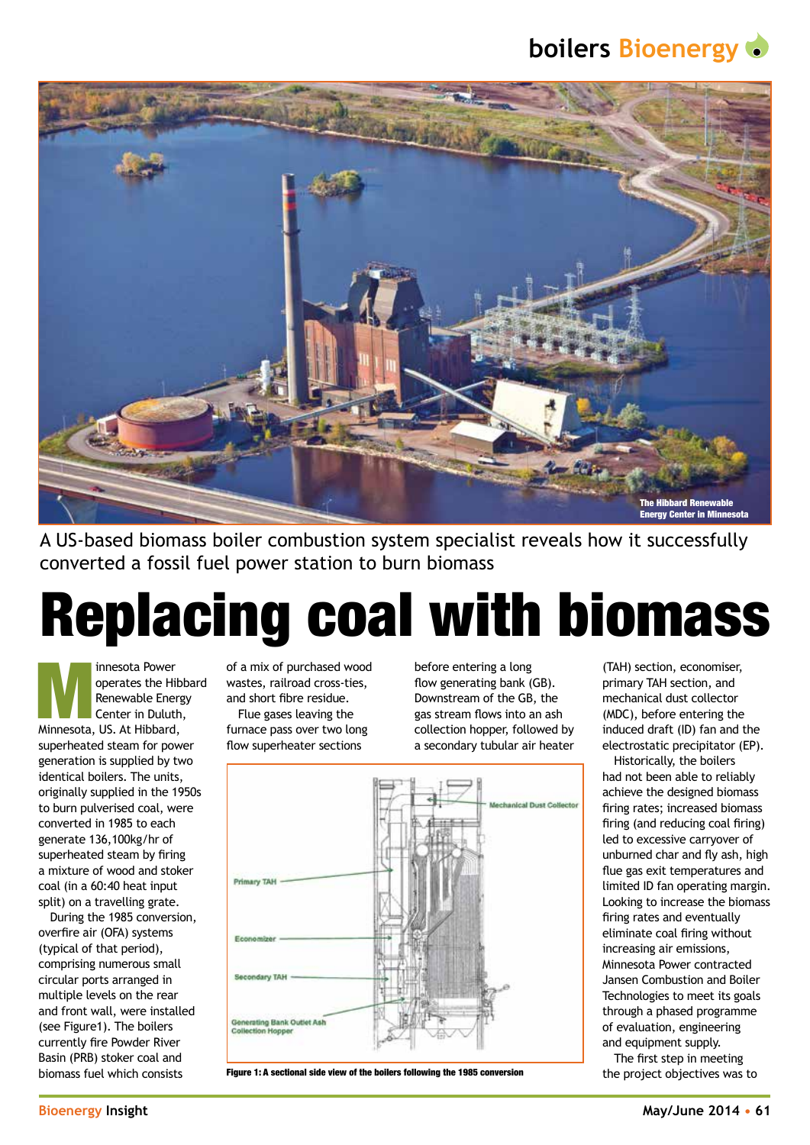# **boilers Bioenergy**



A US-based biomass boiler combustion system specialist reveals how it successfully converted a fossil fuel power station to burn biomass

# Replacing coal with biomass

Innesota Power<br>
operates the Hib<br>
Renewable Energ<br>
Center in Duluth<br>
Minnesota, US. At Hibbard, operates the Hibbard Renewable Energy Center in Duluth, superheated steam for power generation is supplied by two identical boilers. The units, originally supplied in the 1950s to burn pulverised coal, were converted in 1985 to each generate 136,100kg/hr of superheated steam by firing a mixture of wood and stoker coal (in a 60:40 heat input split) on a travelling grate.

During the 1985 conversion, overfire air (OFA) systems (typical of that period), comprising numerous small circular ports arranged in multiple levels on the rear and front wall, were installed (see Figure1). The boilers currently fire Powder River Basin (PRB) stoker coal and biomass fuel which consists

of a mix of purchased wood wastes, railroad cross-ties, and short fibre residue.

Flue gases leaving the furnace pass over two long flow superheater sections

before entering a long flow generating bank (GB). Downstream of the GB, the gas stream flows into an ash collection hopper, followed by a secondary tubular air heater



Figure 1: A sectional side view of the boilers following the 1985 conversion the project objectives was to

(TAH) section, economiser, primary TAH section, and mechanical dust collector (MDC), before entering the induced draft (ID) fan and the electrostatic precipitator (EP).

Historically, the boilers had not been able to reliably achieve the designed biomass firing rates; increased biomass firing (and reducing coal firing) led to excessive carryover of unburned char and fly ash, high flue gas exit temperatures and limited ID fan operating margin. Looking to increase the biomass firing rates and eventually eliminate coal firing without increasing air emissions, Minnesota Power contracted Jansen Combustion and Boiler Technologies to meet its goals through a phased programme of evaluation, engineering and equipment supply.

The first step in meeting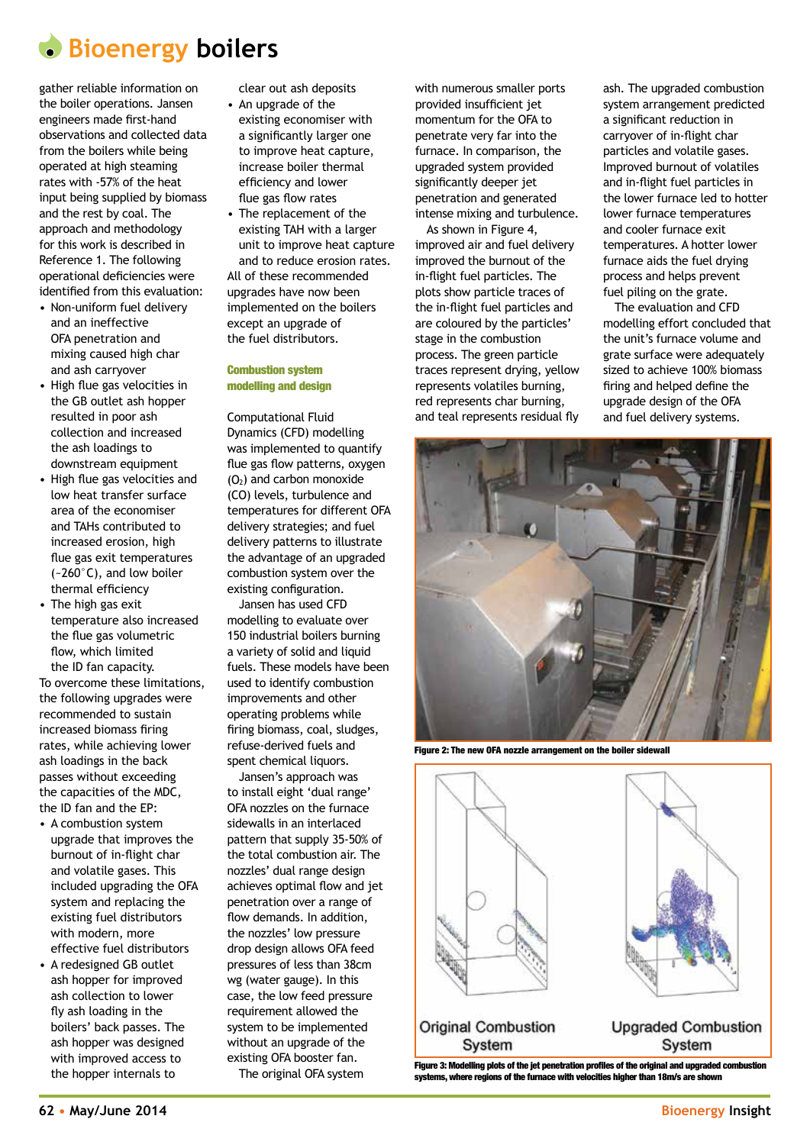## **Bioenergy boilers**

gather reliable information on the boiler operations. Jansen engineers made first-hand observations and collected data from the boilers while being operated at high steaming rates with -57% of the heat input being supplied by biomass and the rest by coal. The approach and methodology for this work is described in Reference 1. The following operational deficiencies were identified from this evaluation:

- Non-uniform fuel delivery and an ineffective OFA penetration and mixing caused high char and ash carryover
- High flue gas velocities in the GB outlet ash hopper resulted in poor ash collection and increased the ash loadings to downstream equipment
- High flue gas velocities and low heat transfer surface area of the economiser and TAHs contributed to increased erosion, high flue gas exit temperatures (~260°C), and low boiler thermal efficiency
- The high gas exit temperature also increased the flue gas volumetric flow, which limited the ID fan capacity.

To overcome these limitations, the following upgrades were recommended to sustain increased biomass firing rates, while achieving lower ash loadings in the back passes without exceeding the capacities of the MDC, the ID fan and the EP:

- A combustion system upgrade that improves the burnout of in-flight char and volatile gases. This included upgrading the OFA system and replacing the existing fuel distributors with modern, more effective fuel distributors
- A redesigned GB outlet ash hopper for improved ash collection to lower fly ash loading in the boilers' back passes. The ash hopper was designed with improved access to the hopper internals to

clear out ash deposits

- An upgrade of the existing economiser with a significantly larger one to improve heat capture, increase boiler thermal efficiency and lower flue gas flow rates
- The replacement of the existing TAH with a larger unit to improve heat capture and to reduce erosion rates. All of these recommended upgrades have now been implemented on the boilers except an upgrade of the fuel distributors.

Combustion system modelling and design

Computational Fluid Dynamics (CFD) modelling was implemented to quantify flue gas flow patterns, oxygen  $(O<sub>2</sub>)$  and carbon monoxide (CO) levels, turbulence and temperatures for different OFA delivery strategies; and fuel delivery patterns to illustrate the advantage of an upgraded combustion system over the existing configuration.

Jansen has used CFD modelling to evaluate over 150 industrial boilers burning a variety of solid and liquid fuels. These models have been used to identify combustion improvements and other operating problems while firing biomass, coal, sludges, refuse-derived fuels and spent chemical liquors.

Jansen's approach was to install eight 'dual range' OFA nozzles on the furnace sidewalls in an interlaced pattern that supply 35-50% of the total combustion air. The nozzles' dual range design achieves optimal flow and jet penetration over a range of flow demands. In addition, the nozzles' low pressure drop design allows OFA feed pressures of less than 38cm wg (water gauge). In this case, the low feed pressure requirement allowed the system to be implemented without an upgrade of the existing OFA booster fan. The original OFA system

with numerous smaller ports provided insufficient jet momentum for the OFA to penetrate very far into the furnace. In comparison, the upgraded system provided significantly deeper jet penetration and generated intense mixing and turbulence.

As shown in Figure 4, improved air and fuel delivery improved the burnout of the in-flight fuel particles. The plots show particle traces of the in-flight fuel particles and are coloured by the particles' stage in the combustion process. The green particle traces represent drying, yellow represents volatiles burning, red represents char burning, and teal represents residual fly ash. The upgraded combustion system arrangement predicted a significant reduction in carryover of in-flight char particles and volatile gases. Improved burnout of volatiles and in-flight fuel particles in the lower furnace led to hotter lower furnace temperatures and cooler furnace exit temperatures. A hotter lower furnace aids the fuel drying process and helps prevent fuel piling on the grate.

The evaluation and CFD modelling effort concluded that the unit's furnace volume and grate surface were adequately sized to achieve 100% biomass firing and helped define the upgrade design of the OFA and fuel delivery systems.



Figure 2: The new OFA nozzle arrangement on the boiler sidewall



Figure 3: Modelling plots of the jet penetration profiles of the original and upgraded combustion systems, where regions of the furnace with velocities higher than 18m/s are shown